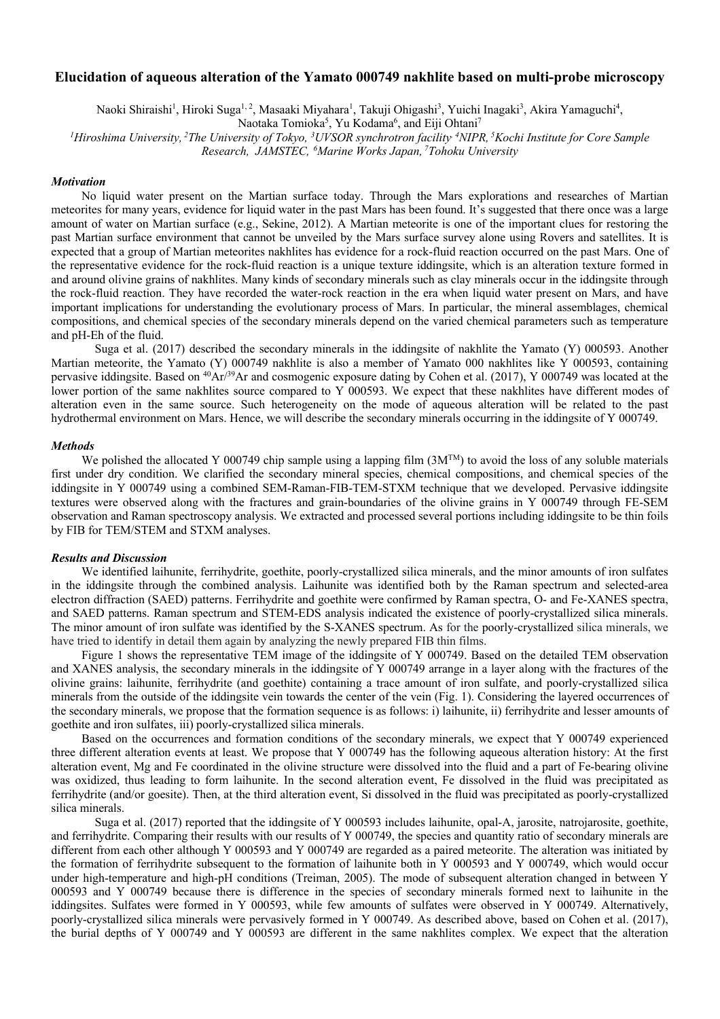## **Elucidation of aqueous alteration of the Yamato 000749 nakhlite based on multi-probe microscopy**

Naoki Shiraishi<sup>1</sup>, Hiroki Suga<sup>1, 2</sup>, Masaaki Miyahara<sup>1</sup>, Takuji Ohigashi<sup>3</sup>, Yuichi Inagaki<sup>3</sup>, Akira Yamaguchi<sup>4</sup>,

Naotaka Tomioka<sup>5</sup>, Yu Kodama<sup>6</sup>, and Eiji Ohtani<sup>7</sup>

<sup>1</sup>Hiroshima University, <sup>2</sup>The University of Tokyo, <sup>3</sup>UVSOR synchrotron facility <sup>4</sup>NIPR, <sup>5</sup>Kochi Institute for Core Sample *Research, JAMSTEC, <sup>6</sup> Marine Works Japan, <sup>7</sup> Tohoku University*

#### *Motivation*

 No liquid water present on the Martian surface today. Through the Mars explorations and researches of Martian meteorites for many years, evidence for liquid water in the past Mars has been found. It's suggested that there once was a large amount of water on Martian surface (e.g., Sekine, 2012). A Martian meteorite is one of the important clues for restoring the past Martian surface environment that cannot be unveiled by the Mars surface survey alone using Rovers and satellites. It is expected that a group of Martian meteorites nakhlites has evidence for a rock-fluid reaction occurred on the past Mars. One of the representative evidence for the rock-fluid reaction is a unique texture iddingsite, which is an alteration texture formed in and around olivine grains of nakhlites. Many kinds of secondary minerals such as clay minerals occur in the iddingsite through the rock-fluid reaction. They have recorded the water-rock reaction in the era when liquid water present on Mars, and have important implications for understanding the evolutionary process of Mars. In particular, the mineral assemblages, chemical compositions, and chemical species of the secondary minerals depend on the varied chemical parameters such as temperature and pH-Eh of the fluid.

Suga et al. (2017) described the secondary minerals in the iddingsite of nakhlite the Yamato (Y) 000593. Another Martian meteorite, the Yamato (Y) 000749 nakhlite is also a member of Yamato 000 nakhlites like Y 000593, containing pervasive iddingsite. Based on <sup>40</sup>Ar<sup>/39</sup>Ar and cosmogenic exposure dating by Cohen et al. (2017), Y 000749 was located at the lower portion of the same nakhlites source compared to Y 000593. We expect that these nakhlites have different modes of alteration even in the same source. Such heterogeneity on the mode of aqueous alteration will be related to the past hydrothermal environment on Mars. Hence, we will describe the secondary minerals occurring in the iddingsite of Y 000749.

### *Methods*

We polished the allocated Y 000749 chip sample using a lapping film (3M<sup>TM</sup>) to avoid the loss of any soluble materials first under dry condition. We clarified the secondary mineral species, chemical compositions, and chemical species of the iddingsite in Y 000749 using a combined SEM-Raman-FIB-TEM-STXM technique that we developed. Pervasive iddingsite textures were observed along with the fractures and grain-boundaries of the olivine grains in Y 000749 through FE-SEM observation and Raman spectroscopy analysis. We extracted and processed several portions including iddingsite to be thin foils by FIB for TEM/STEM and STXM analyses.

#### *Results and Discussion*

 We identified laihunite, ferrihydrite, goethite, poorly-crystallized silica minerals, and the minor amounts of iron sulfates in the iddingsite through the combined analysis. Laihunite was identified both by the Raman spectrum and selected-area electron diffraction (SAED) patterns. Ferrihydrite and goethite were confirmed by Raman spectra, O- and Fe-XANES spectra, and SAED patterns. Raman spectrum and STEM-EDS analysis indicated the existence of poorly-crystallized silica minerals. The minor amount of iron sulfate was identified by the S-XANES spectrum. As for the poorly-crystallized silica minerals, we have tried to identify in detail them again by analyzing the newly prepared FIB thin films.

 Figure 1 shows the representative TEM image of the iddingsite of Y 000749. Based on the detailed TEM observation and XANES analysis, the secondary minerals in the iddingsite of Y 000749 arrange in a layer along with the fractures of the olivine grains: laihunite, ferrihydrite (and goethite) containing a trace amount of iron sulfate, and poorly-crystallized silica minerals from the outside of the iddingsite vein towards the center of the vein (Fig. 1). Considering the layered occurrences of the secondary minerals, we propose that the formation sequence is as follows: i) laihunite, ii) ferrihydrite and lesser amounts of goethite and iron sulfates, iii) poorly-crystallized silica minerals.

 Based on the occurrences and formation conditions of the secondary minerals, we expect that Y 000749 experienced three different alteration events at least. We propose that Y 000749 has the following aqueous alteration history: At the first alteration event, Mg and Fe coordinated in the olivine structure were dissolved into the fluid and a part of Fe-bearing olivine was oxidized, thus leading to form laihunite. In the second alteration event, Fe dissolved in the fluid was precipitated as ferrihydrite (and/or goesite). Then, at the third alteration event, Si dissolved in the fluid was precipitated as poorly-crystallized silica minerals.

Suga et al. (2017) reported that the iddingsite of Y 000593 includes laihunite, opal-A, jarosite, natrojarosite, goethite, and ferrihydrite. Comparing their results with our results of Y 000749, the species and quantity ratio of secondary minerals are different from each other although Y 000593 and Y 000749 are regarded as a paired meteorite. The alteration was initiated by the formation of ferrihydrite subsequent to the formation of laihunite both in Y 000593 and Y 000749, which would occur under high-temperature and high-pH conditions (Treiman, 2005). The mode of subsequent alteration changed in between Y 000593 and Y 000749 because there is difference in the species of secondary minerals formed next to laihunite in the iddingsites. Sulfates were formed in Y 000593, while few amounts of sulfates were observed in Y 000749. Alternatively, poorly-crystallized silica minerals were pervasively formed in Y 000749. As described above, based on Cohen et al. (2017), the burial depths of Y 000749 and Y 000593 are different in the same nakhlites complex. We expect that the alteration